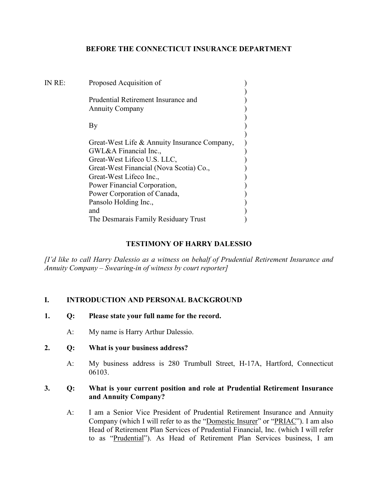## **BEFORE THE CONNECTICUT INSURANCE DEPARTMENT**

| IN RE: | Proposed Acquisition of                                                |  |
|--------|------------------------------------------------------------------------|--|
|        | Prudential Retirement Insurance and<br><b>Annuity Company</b>          |  |
|        | By                                                                     |  |
|        | Great-West Life & Annuity Insurance Company,<br>GWL&A Financial Inc.,  |  |
|        | Great-West Lifeco U.S. LLC,<br>Great-West Financial (Nova Scotia) Co., |  |
|        | Great-West Lifeco Inc.,<br>Power Financial Corporation,                |  |
|        | Power Corporation of Canada,<br>Pansolo Holding Inc.,                  |  |
|        | and                                                                    |  |
|        | The Desmarais Family Residuary Trust                                   |  |

### **TESTIMONY OF HARRY DALESSIO**

*[I'd like to call Harry Dalessio as a witness on behalf of Prudential Retirement Insurance and Annuity Company – Swearing-in of witness by court reporter]*

## **I. INTRODUCTION AND PERSONAL BACKGROUND**

- **1. Q: Please state your full name for the record.**
	- A: My name is Harry Arthur Dalessio.
- **2. Q: What is your business address?**
	- A: My business address is 280 Trumbull Street, H-17A, Hartford, Connecticut 06103.

#### **3. Q: What is your current position and role at Prudential Retirement Insurance and Annuity Company?**

A: I am a Senior Vice President of Prudential Retirement Insurance and Annuity Company (which I will refer to as the "Domestic Insurer" or "PRIAC"). I am also Head of Retirement Plan Services of Prudential Financial, Inc. (which I will refer to as "Prudential"). As Head of Retirement Plan Services business, I am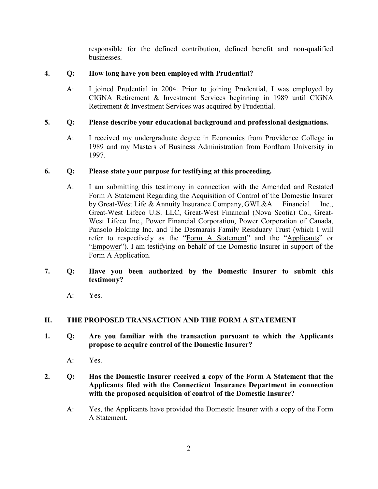responsible for the defined contribution, defined benefit and non-qualified businesses.

# **4. Q: How long have you been employed with Prudential?**

A: I joined Prudential in 2004. Prior to joining Prudential, I was employed by CIGNA Retirement & Investment Services beginning in 1989 until CIGNA Retirement & Investment Services was acquired by Prudential.

# **5. Q: Please describe your educational background and professional designations.**

A: I received my undergraduate degree in Economics from Providence College in 1989 and my Masters of Business Administration from Fordham University in 1997.

# **6. Q: Please state your purpose for testifying at this proceeding.**

A: I am submitting this testimony in connection with the Amended and Restated Form A Statement Regarding the Acquisition of Control of the Domestic Insurer by Great-West Life & Annuity Insurance Company, GWL&A Financial Inc., Great-West Lifeco U.S. LLC, Great-West Financial (Nova Scotia) Co., Great-West Lifeco Inc., Power Financial Corporation, Power Corporation of Canada, Pansolo Holding Inc. and The Desmarais Family Residuary Trust (which I will refer to respectively as the "Form A Statement" and the "Applicants" or "Empower"). I am testifying on behalf of the Domestic Insurer in support of the Form A Application.

## **7. Q: Have you been authorized by the Domestic Insurer to submit this testimony?**

A: Yes.

## **II. THE PROPOSED TRANSACTION AND THE FORM A STATEMENT**

- **1. Q: Are you familiar with the transaction pursuant to which the Applicants propose to acquire control of the Domestic Insurer?**
	- A: Yes.
- **2. Q: Has the Domestic Insurer received a copy of the Form A Statement that the Applicants filed with the Connecticut Insurance Department in connection with the proposed acquisition of control of the Domestic Insurer?** 
	- A: Yes, the Applicants have provided the Domestic Insurer with a copy of the Form A Statement.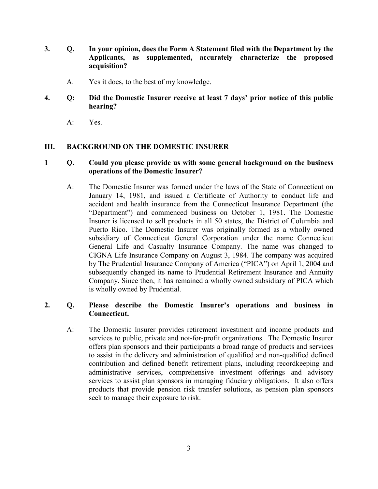- **3. Q. In your opinion, does the Form A Statement filed with the Department by the Applicants, as supplemented, accurately characterize the proposed acquisition?**
	- A. Yes it does, to the best of my knowledge.
- **4. Q: Did the Domestic Insurer receive at least 7 days' prior notice of this public hearing?**
	- A: Yes.

#### **III. BACKGROUND ON THE DOMESTIC INSURER**

#### **1 Q. Could you please provide us with some general background on the business operations of the Domestic Insurer?**

A: The Domestic Insurer was formed under the laws of the State of Connecticut on January 14, 1981, and issued a Certificate of Authority to conduct life and accident and health insurance from the Connecticut Insurance Department (the "Department") and commenced business on October 1, 1981. The Domestic Insurer is licensed to sell products in all 50 states, the District of Columbia and Puerto Rico. The Domestic Insurer was originally formed as a wholly owned subsidiary of Connecticut General Corporation under the name Connecticut General Life and Casualty Insurance Company. The name was changed to CIGNA Life Insurance Company on August 3, 1984. The company was acquired by The Prudential Insurance Company of America ("PICA") on April 1, 2004 and subsequently changed its name to Prudential Retirement Insurance and Annuity Company. Since then, it has remained a wholly owned subsidiary of PICA which is wholly owned by Prudential.

#### **2. Q. Please describe the Domestic Insurer's operations and business in Connecticut.**

A: The Domestic Insurer provides retirement investment and income products and services to public, private and not-for-profit organizations. The Domestic Insurer offers plan sponsors and their participants a broad range of products and services to assist in the delivery and administration of qualified and non-qualified defined contribution and defined benefit retirement plans, including recordkeeping and administrative services, comprehensive investment offerings and advisory services to assist plan sponsors in managing fiduciary obligations. It also offers products that provide pension risk transfer solutions, as pension plan sponsors seek to manage their exposure to risk.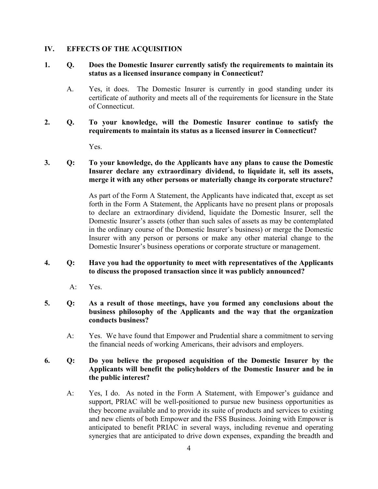#### **IV. EFFECTS OF THE ACQUISITION**

## **1. Q. Does the Domestic Insurer currently satisfy the requirements to maintain its status as a licensed insurance company in Connecticut?**

- A. Yes, it does. The Domestic Insurer is currently in good standing under its certificate of authority and meets all of the requirements for licensure in the State of Connecticut.
- **2. Q. To your knowledge, will the Domestic Insurer continue to satisfy the requirements to maintain its status as a licensed insurer in Connecticut?**

Yes.

## **3. Q: To your knowledge, do the Applicants have any plans to cause the Domestic Insurer declare any extraordinary dividend, to liquidate it, sell its assets, merge it with any other persons or materially change its corporate structure?**

As part of the Form A Statement, the Applicants have indicated that, except as set forth in the Form A Statement, the Applicants have no present plans or proposals to declare an extraordinary dividend, liquidate the Domestic Insurer, sell the Domestic Insurer's assets (other than such sales of assets as may be contemplated in the ordinary course of the Domestic Insurer's business) or merge the Domestic Insurer with any person or persons or make any other material change to the Domestic Insurer's business operations or corporate structure or management.

### **4. Q: Have you had the opportunity to meet with representatives of the Applicants to discuss the proposed transaction since it was publicly announced?**

A: Yes.

### **5. Q: As a result of those meetings, have you formed any conclusions about the business philosophy of the Applicants and the way that the organization conducts business?**

A: Yes. We have found that Empower and Prudential share a commitment to serving the financial needs of working Americans, their advisors and employers.

### **6. Q: Do you believe the proposed acquisition of the Domestic Insurer by the Applicants will benefit the policyholders of the Domestic Insurer and be in the public interest?**

A: Yes, I do. As noted in the Form A Statement, with Empower's guidance and support, PRIAC will be well-positioned to pursue new business opportunities as they become available and to provide its suite of products and services to existing and new clients of both Empower and the FSS Business. Joining with Empower is anticipated to benefit PRIAC in several ways, including revenue and operating synergies that are anticipated to drive down expenses, expanding the breadth and